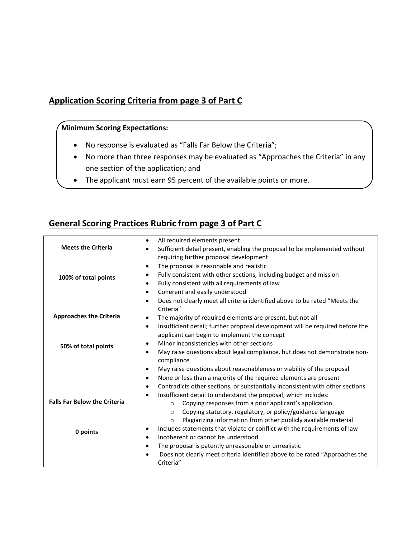### **Application Scoring Criteria from page 3 of Part C**

### **Minimum Scoring Expectations:**

- No response is evaluated as "Falls Far Below the Criteria";
- No more than three responses may be evaluated as "Approaches the Criteria" in any one section of the application; and
- The applicant must earn 95 percent of the available points or more.

### **General Scoring Practices Rubric from page 3 of Part C**

|                                     | All required elements present<br>$\bullet$                                                 |
|-------------------------------------|--------------------------------------------------------------------------------------------|
|                                     |                                                                                            |
| <b>Meets the Criteria</b>           | Sufficient detail present, enabling the proposal to be implemented without                 |
|                                     | requiring further proposal development                                                     |
|                                     | The proposal is reasonable and realistic<br>$\bullet$                                      |
| 100% of total points                | Fully consistent with other sections, including budget and mission<br>٠                    |
|                                     | Fully consistent with all requirements of law<br>$\bullet$                                 |
|                                     | Coherent and easily understood<br>$\bullet$                                                |
|                                     | Does not clearly meet all criteria identified above to be rated "Meets the<br>$\bullet$    |
|                                     | Criteria"                                                                                  |
| <b>Approaches the Criteria</b>      | The majority of required elements are present, but not all<br>$\bullet$                    |
|                                     | Insufficient detail; further proposal development will be required before the<br>$\bullet$ |
|                                     | applicant can begin to implement the concept                                               |
| 50% of total points                 | Minor inconsistencies with other sections<br>$\bullet$                                     |
|                                     | May raise questions about legal compliance, but does not demonstrate non-<br>$\bullet$     |
|                                     | compliance                                                                                 |
|                                     | May raise questions about reasonableness or viability of the proposal<br>$\bullet$         |
|                                     | None or less than a majority of the required elements are present<br>$\bullet$             |
|                                     | Contradicts other sections, or substantially inconsistent with other sections<br>$\bullet$ |
|                                     | Insufficient detail to understand the proposal, which includes:<br>$\bullet$               |
| <b>Falls Far Below the Criteria</b> | Copying responses from a prior applicant's application<br>$\circ$                          |
|                                     | Copying statutory, regulatory, or policy/guidance language<br>$\Omega$                     |
|                                     | Plagiarizing information from other publicly available material<br>$\circ$                 |
| 0 points                            | Includes statements that violate or conflict with the requirements of law<br>٠             |
|                                     | Incoherent or cannot be understood<br>$\bullet$                                            |
|                                     | The proposal is patently unreasonable or unrealistic<br>٠                                  |
|                                     | Does not clearly meet criteria identified above to be rated "Approaches the                |
|                                     | Criteria"                                                                                  |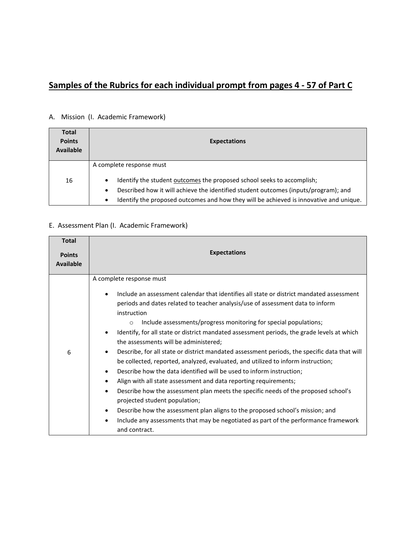# **Samples of the Rubrics for each individual prompt from pages 4 - 57 of Part C**

## A. Mission (I. Academic Framework)

| <b>Total</b><br><b>Points</b><br><b>Available</b> | <b>Expectations</b>                                                                                                                                                                                                                                                                            |
|---------------------------------------------------|------------------------------------------------------------------------------------------------------------------------------------------------------------------------------------------------------------------------------------------------------------------------------------------------|
|                                                   | A complete response must                                                                                                                                                                                                                                                                       |
| 16                                                | Identify the student outcomes the proposed school seeks to accomplish;<br>$\bullet$<br>Described how it will achieve the identified student outcomes (inputs/program); and<br>$\bullet$<br>Identify the proposed outcomes and how they will be achieved is innovative and unique.<br>$\bullet$ |

### E. Assessment Plan (I. Academic Framework)

| <b>Total</b><br><b>Points</b><br><b>Available</b> | <b>Expectations</b>                                                                                                                                                                                                                                                                                                                                                                                                                                                                                                                                                                                                                                                                                                                                                                                                                                                                                                                                                                                                                                                                                                                                 |
|---------------------------------------------------|-----------------------------------------------------------------------------------------------------------------------------------------------------------------------------------------------------------------------------------------------------------------------------------------------------------------------------------------------------------------------------------------------------------------------------------------------------------------------------------------------------------------------------------------------------------------------------------------------------------------------------------------------------------------------------------------------------------------------------------------------------------------------------------------------------------------------------------------------------------------------------------------------------------------------------------------------------------------------------------------------------------------------------------------------------------------------------------------------------------------------------------------------------|
| 6                                                 | A complete response must<br>Include an assessment calendar that identifies all state or district mandated assessment<br>$\bullet$<br>periods and dates related to teacher analysis/use of assessment data to inform<br>instruction<br>Include assessments/progress monitoring for special populations;<br>$\circ$<br>Identify, for all state or district mandated assessment periods, the grade levels at which<br>$\bullet$<br>the assessments will be administered;<br>Describe, for all state or district mandated assessment periods, the specific data that will<br>٠<br>be collected, reported, analyzed, evaluated, and utilized to inform instruction;<br>Describe how the data identified will be used to inform instruction;<br>٠<br>Align with all state assessment and data reporting requirements;<br>٠<br>Describe how the assessment plan meets the specific needs of the proposed school's<br>٠<br>projected student population;<br>Describe how the assessment plan aligns to the proposed school's mission; and<br>٠<br>Include any assessments that may be negotiated as part of the performance framework<br>٠<br>and contract. |